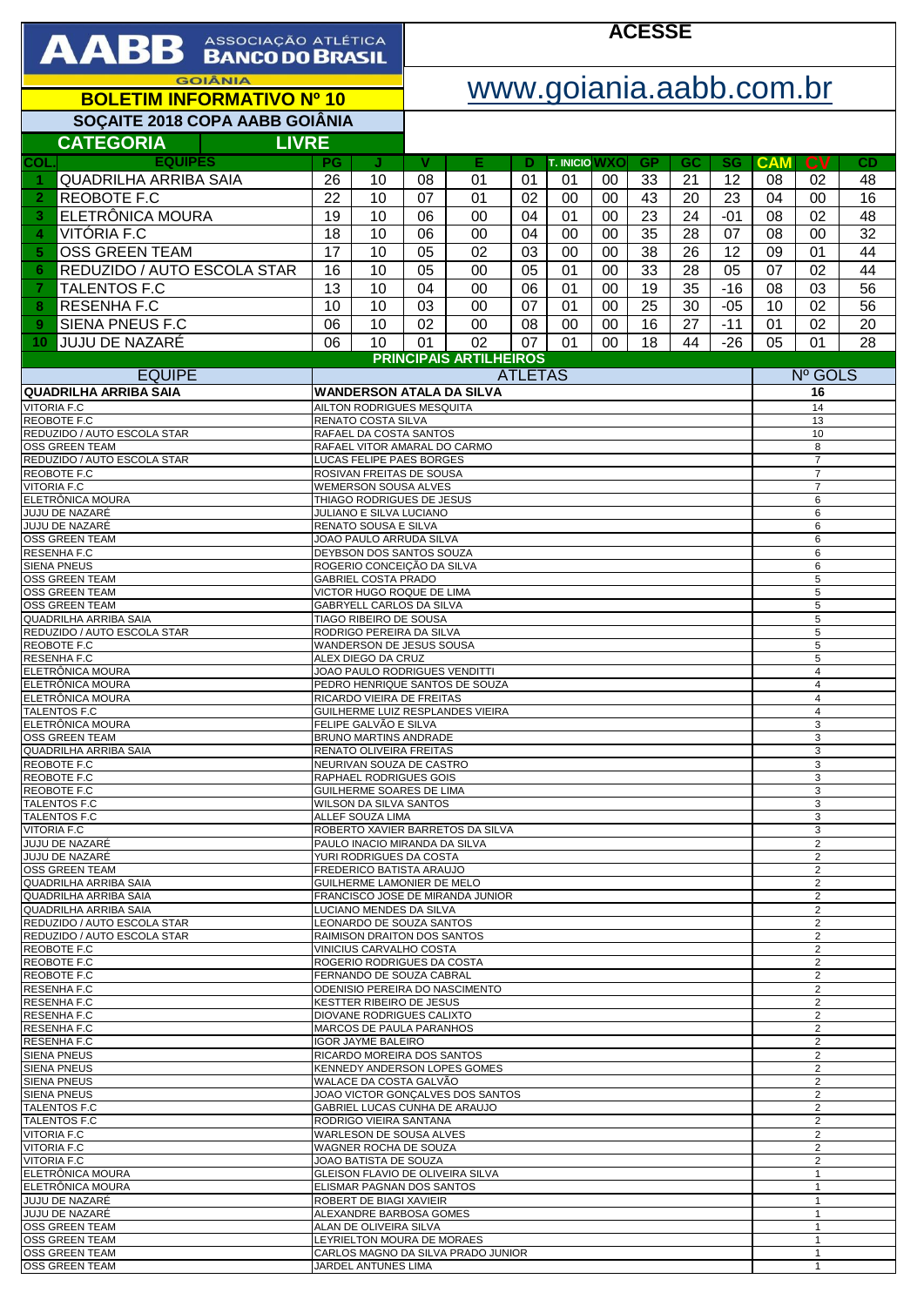| <b>AABB</b> ASSOCIAÇÃO ATLÉTICA                                                                                    |                                                        |                                                         | <b>ACESSE</b>                                                     |                                  |                |                            |          |                 |                                  |                                  |                                  |                 |                 |  |
|--------------------------------------------------------------------------------------------------------------------|--------------------------------------------------------|---------------------------------------------------------|-------------------------------------------------------------------|----------------------------------|----------------|----------------------------|----------|-----------------|----------------------------------|----------------------------------|----------------------------------|-----------------|-----------------|--|
| <b>GOIÂNIA</b><br><b>BOLETIM INFORMATIVO Nº 10</b>                                                                 |                                                        |                                                         |                                                                   | www.goiania.aabb.com.br          |                |                            |          |                 |                                  |                                  |                                  |                 |                 |  |
| SOÇAITE 2018 COPA AABB GOIÂNIA                                                                                     |                                                        |                                                         |                                                                   |                                  |                |                            |          |                 |                                  |                                  |                                  |                 |                 |  |
| <b>CATEGORIA</b><br><b>LIVRE</b>                                                                                   |                                                        |                                                         |                                                                   |                                  |                |                            |          |                 |                                  |                                  |                                  |                 |                 |  |
| <b>EQUIPES</b><br>COL.<br><b>QUADRILHA ARRIBA SAIA</b>                                                             | PG<br>26                                               | J<br>10                                                 | v<br>08                                                           | Е<br>01                          | D<br>01        | <b>T. INICIO WXO</b><br>01 | 00       | <b>GP</b><br>33 | GC<br>21                         | <b>SG</b><br>12                  | <b>CAM</b><br>08                 | <b>CV</b><br>02 | <b>CD</b><br>48 |  |
| REOBOTE F.C<br>$\overline{2}$                                                                                      | 22                                                     | 10                                                      | 07                                                                | 01                               | 02             | 00                         | 00       | 43              | 20                               | 23                               | 04                               | 00              | 16              |  |
| ELETRÔNICA MOURA<br>3                                                                                              | 19                                                     | 10                                                      | 06                                                                | 00                               | 04             | 01                         | 00       | 23              | 24                               | $-01$                            | 08                               | 02              | 48              |  |
| VITÓRIA F.C<br>4                                                                                                   | 18                                                     | 10                                                      | 06                                                                | 00                               | 04             | 00                         | 00       | 35              | 28                               | 07                               | 08                               | 00              | 32              |  |
| <b>OSS GREEN TEAM</b><br>5                                                                                         | 17                                                     | 10                                                      | 05                                                                | 02                               | 03             | 00                         | 00       | 38              | 26                               | 12                               | 09                               | 01              | 44              |  |
| REDUZIDO / AUTO ESCOLA STAR<br>6                                                                                   | 16                                                     | 10                                                      | 05                                                                | 00                               | 05             | 01                         | 00       | 33              | 28                               | 05                               | 07                               | 02              | 44              |  |
| <b>TALENTOS F.C</b><br>7                                                                                           | 13                                                     | 10                                                      | 04                                                                | 00                               | 06             | 01                         | $00\,$   | 19              | 35                               | $-16$                            | 08                               | 03              | 56              |  |
| RESENHA F.C<br>8                                                                                                   | 10                                                     | 10                                                      | 03                                                                | 00                               | 07             | 01                         | 00       | 25              | 30                               | $-05$                            | 10                               | 02              | 56              |  |
| SIENA PNEUS F.C<br>9<br>UUJU DE NAZARÉ<br>10                                                                       | 06<br>06                                               | 10<br>10                                                | 02<br>01                                                          | $00\,$<br>02                     | 08<br>07       | 00<br>01                   | 00<br>00 | 16<br>18        | 27<br>44                         | $-11$<br>$-26$                   | 01<br>05                         | 02<br>01        | 20<br>28        |  |
|                                                                                                                    |                                                        |                                                         |                                                                   | <b>PRINCIPAIS ARTILHEIROS</b>    |                |                            |          |                 |                                  |                                  |                                  |                 |                 |  |
| <b>EQUIPE</b>                                                                                                      |                                                        |                                                         |                                                                   |                                  | <b>ATLETAS</b> |                            |          |                 |                                  |                                  |                                  | Nº GOLS         |                 |  |
| <b>QUADRILHA ARRIBA SAIA</b><br><b>VITORIA F.C</b>                                                                 |                                                        | AILTON RODRIGUES MESQUITA                               |                                                                   | <b>WANDERSON ATALA DA SILVA</b>  |                |                            |          |                 |                                  |                                  |                                  | 16<br>14        |                 |  |
| <b>REOBOTE F.C</b>                                                                                                 |                                                        | RENATO COSTA SILVA                                      |                                                                   |                                  |                |                            |          |                 |                                  |                                  |                                  | 13              |                 |  |
| REDUZIDO / AUTO ESCOLA STAR<br><b>OSS GREEN TEAM</b>                                                               |                                                        | RAFAEL DA COSTA SANTOS<br>RAFAEL VITOR AMARAL DO CARMO  |                                                                   |                                  |                |                            |          |                 |                                  |                                  |                                  | 10<br>8         |                 |  |
| REDUZIDO / AUTO ESCOLA STAR                                                                                        |                                                        | LUCAS FELIPE PAES BORGES                                |                                                                   |                                  |                |                            |          |                 |                                  |                                  |                                  | $\overline{7}$  |                 |  |
| REOBOTE F.C<br><b>VITORIA F.C</b>                                                                                  |                                                        | ROSIVAN FREITAS DE SOUSA<br><b>WEMERSON SOUSA ALVES</b> |                                                                   |                                  |                |                            |          |                 |                                  |                                  | $\overline{7}$<br>$\overline{7}$ |                 |                 |  |
| ELETRÔNICA MOURA                                                                                                   |                                                        | THIAGO RODRIGUES DE JESUS                               |                                                                   |                                  |                |                            |          |                 |                                  |                                  |                                  | 6               |                 |  |
| JUJU DE NAZARÉ<br>JUJU DE NAZARÉ                                                                                   |                                                        | JULIANO E SILVA LUCIANO<br>RENATO SOUSA E SILVA         |                                                                   |                                  |                |                            |          |                 |                                  |                                  |                                  | 6<br>6          |                 |  |
| <b>OSS GREEN TEAM</b>                                                                                              |                                                        | JOAO PAULO ARRUDA SILVA                                 |                                                                   |                                  |                |                            |          |                 |                                  |                                  | 6                                |                 |                 |  |
| RESENHA F.C<br><b>SIENA PNEUS</b>                                                                                  |                                                        |                                                         | DEYBSON DOS SANTOS SOUZA<br>ROGERIO CONCEIÇÃO DA SILVA            |                                  |                |                            |          |                 | 6<br>6                           |                                  |                                  |                 |                 |  |
| <b>OSS GREEN TEAM</b>                                                                                              |                                                        | <b>GABRIEL COSTA PRADO</b>                              |                                                                   |                                  |                |                            |          |                 | 5                                |                                  |                                  |                 |                 |  |
| OSS GREEN TEAM<br><b>OSS GREEN TEAM</b>                                                                            |                                                        |                                                         | VICTOR HUGO ROQUE DE LIMA<br>GABRYELL CARLOS DA SILVA             |                                  |                |                            |          |                 | 5<br>5                           |                                  |                                  |                 |                 |  |
| QUADRILHA ARRIBA SAIA                                                                                              |                                                        | TIAGO RIBEIRO DE SOUSA                                  |                                                                   |                                  |                |                            |          |                 | 5                                |                                  |                                  |                 |                 |  |
| REDUZIDO / AUTO ESCOLA STAR<br>REOBOTE F.C                                                                         |                                                        | RODRIGO PEREIRA DA SILVA<br>WANDERSON DE JESUS SOUSA    |                                                                   |                                  |                |                            |          |                 |                                  |                                  |                                  | 5<br>5          |                 |  |
| <b>RESENHA F.C</b>                                                                                                 |                                                        | ALEX DIEGO DA CRUZ                                      |                                                                   |                                  |                |                            |          |                 | 5                                |                                  |                                  |                 |                 |  |
| ELETRÔNICA MOURA<br>ELETRÔNICA MOURA                                                                               |                                                        |                                                         | JOAO PAULO RODRIGUES VENDITTI<br>PEDRO HENRIQUE SANTOS DE SOUZA   |                                  |                |                            |          |                 | $\overline{4}$<br>$\overline{4}$ |                                  |                                  |                 |                 |  |
| ELETRÔNICA MOURA                                                                                                   |                                                        |                                                         | RICARDO VIEIRA DE FREITAS                                         |                                  |                |                            |          |                 | $\overline{4}$                   |                                  |                                  |                 |                 |  |
| TALENTOS F.C<br>ELETRÔNICA MOURA                                                                                   |                                                        | FELIPE GALVAO E SILVA                                   | GUILHERME LUIZ RESPLANDES VIEIRA                                  |                                  |                |                            |          |                 | 4<br>3                           |                                  |                                  |                 |                 |  |
| <b>OSS GREEN TEAM</b>                                                                                              |                                                        |                                                         | <b>BRUNO MARTINS ANDRADE</b>                                      |                                  |                |                            |          |                 | 3                                |                                  |                                  |                 |                 |  |
| <b>QUADRILHA ARRIBA SAIA</b><br>REOBOTE F.C                                                                        |                                                        |                                                         | RENATO OLIVEIRA FREITAS<br>NEURIVAN SOUZA DE CASTRO               |                                  |                |                            |          |                 | 3<br>3                           |                                  |                                  |                 |                 |  |
| REOBOTE F.C                                                                                                        |                                                        |                                                         | RAPHAEL RODRIGUES GOIS                                            |                                  |                |                            |          |                 | 3                                |                                  |                                  |                 |                 |  |
| REOBOTE F.C<br><b>TALENTOS F.C</b>                                                                                 |                                                        | WILSON DA SILVA SANTOS                                  | GUILHERME SOARES DE LIMA                                          |                                  |                |                            |          |                 |                                  | 3<br>3                           |                                  |                 |                 |  |
| <b>TALENTOS F.C</b>                                                                                                |                                                        | ALLEF SOUZA LIMA                                        |                                                                   |                                  |                |                            |          |                 |                                  | 3                                |                                  |                 |                 |  |
| <b>VITORIA F.C</b><br>JUJU DE NAZARÉ                                                                               |                                                        |                                                         | ROBERTO XAVIER BARRETOS DA SILVA<br>PAULO INACIO MIRANDA DA SILVA |                                  |                |                            |          |                 | 3<br>2                           |                                  |                                  |                 |                 |  |
| JUJU DE NAZARÉ                                                                                                     |                                                        |                                                         | YURI RODRIGUES DA COSTA                                           |                                  |                |                            |          |                 |                                  | $\overline{2}$                   |                                  |                 |                 |  |
| <b>OSS GREEN TEAM</b><br><b>QUADRILHA ARRIBA SAIA</b>                                                              | FREDERICO BATISTA ARAUJO<br>GUILHERME LAMONIER DE MELO |                                                         |                                                                   |                                  |                |                            |          |                 |                                  |                                  | 2<br>$\overline{2}$              |                 |                 |  |
| <b>QUADRILHA ARRIBA SAIA</b>                                                                                       |                                                        |                                                         | FRANCISCO JOSE DE MIRANDA JUNIOR                                  |                                  |                |                            |          |                 |                                  |                                  | $\overline{2}$                   |                 |                 |  |
| <b>QUADRILHA ARRIBA SAIA</b><br>LUCIANO MENDES DA SILVA<br>REDUZIDO / AUTO ESCOLA STAR<br>LEONARDO DE SOUZA SANTOS |                                                        |                                                         |                                                                   |                                  |                |                            |          |                 |                                  | 2<br>$\overline{2}$              |                                  |                 |                 |  |
| REDUZIDO / AUTO ESCOLA STAR<br>REOBOTE F.C                                                                         | RAIMISON DRAITON DOS SANTOS                            |                                                         |                                                                   |                                  |                |                            |          |                 |                                  | 2<br>2                           |                                  |                 |                 |  |
| REOBOTE F.C                                                                                                        | VINICIUS CARVALHO COSTA<br>ROGERIO RODRIGUES DA COSTA  |                                                         |                                                                   |                                  |                |                            |          |                 |                                  | $\overline{2}$                   |                                  |                 |                 |  |
| REOBOTE F.C<br><b>RESENHA F.C</b>                                                                                  | FERNANDO DE SOUZA CABRAL                               |                                                         |                                                                   | ODENISIO PEREIRA DO NASCIMENTO   |                |                            |          |                 |                                  | $\overline{2}$<br>2              |                                  |                 |                 |  |
| RESENHA F.C                                                                                                        | <b>KESTTER RIBEIRO DE JESUS</b>                        |                                                         |                                                                   |                                  |                |                            |          |                 |                                  | $\overline{2}$                   |                                  |                 |                 |  |
| RESENHA F.C<br><b>RESENHA F.C</b>                                                                                  | DIOVANE RODRIGUES CALIXTO                              |                                                         |                                                                   |                                  |                |                            |          |                 |                                  | $\overline{2}$<br>2              |                                  |                 |                 |  |
| <b>RESENHA F.C</b>                                                                                                 |                                                        | MARCOS DE PAULA PARANHOS<br><b>IGOR JAYME BALEIRO</b>   |                                                                   |                                  |                |                            |          |                 |                                  |                                  | $\overline{c}$                   |                 |                 |  |
| <b>SIENA PNEUS</b><br><b>SIENA PNEUS</b>                                                                           | RICARDO MOREIRA DOS SANTOS                             |                                                         |                                                                   | KENNEDY ANDERSON LOPES GOMES     |                |                            |          |                 |                                  | $\overline{2}$<br>$\overline{2}$ |                                  |                 |                 |  |
| <b>SIENA PNEUS</b>                                                                                                 |                                                        |                                                         | WALACE DA COSTA GALVÃO                                            |                                  |                |                            |          |                 | $\overline{2}$                   |                                  |                                  |                 |                 |  |
| <b>SIENA PNEUS</b><br><b>TALENTOS F.C</b>                                                                          |                                                        |                                                         | JOAO VICTOR GONCALVES DOS SANTOS<br>GABRIEL LUCAS CUNHA DE ARAUJO |                                  |                |                            |          |                 | 2<br>$\overline{2}$              |                                  |                                  |                 |                 |  |
| <b>TALENTOS F.C</b>                                                                                                |                                                        |                                                         | RODRIGO VIEIRA SANTANA                                            |                                  |                |                            |          |                 | $\overline{2}$                   |                                  |                                  |                 |                 |  |
| <b>VITORIA F.C</b><br><b>VITORIA F.C</b>                                                                           |                                                        |                                                         | WARLESON DE SOUSA ALVES<br>WAGNER ROCHA DE SOUZA                  |                                  |                |                            |          |                 | $\overline{2}$<br>$\overline{2}$ |                                  |                                  |                 |                 |  |
| <b>VITORIA F.C</b>                                                                                                 |                                                        | JOAO BATISTA DE SOUZA                                   |                                                                   |                                  |                |                            |          |                 | 2                                |                                  |                                  |                 |                 |  |
| ELETRÔNICA MOURA<br>ELETRÖNICA MOURA                                                                               |                                                        | ELISMAR PAGNAN DOS SANTOS                               |                                                                   | GLEISON FLAVIO DE OLIVEIRA SILVA |                |                            |          |                 |                                  |                                  | $\mathbf{1}$<br>$\mathbf{1}$     |                 |                 |  |
| JUJU DE NAZARÉ                                                                                                     | ROBERT DE BIAGI XAVIEIR<br>ALEXANDRE BARBOSA GOMES     |                                                         |                                                                   |                                  |                |                            |          |                 |                                  | $\mathbf{1}$                     |                                  |                 |                 |  |
| JUJU DE NAZARÉ<br><b>OSS GREEN TEAM</b>                                                                            |                                                        | ALAN DE OLIVEIRA SILVA                                  |                                                                   |                                  |                |                            |          |                 |                                  |                                  | $\mathbf{1}$<br>$\mathbf{1}$     |                 |                 |  |
| <b>OSS GREEN TEAM</b>                                                                                              |                                                        | LEYRIELTON MOURA DE MORAES<br>$\mathbf{1}$              |                                                                   |                                  |                |                            |          |                 |                                  |                                  |                                  |                 |                 |  |
| OSS GREEN TEAM<br><b>OSS GREEN TEAM</b>                                                                            |                                                        | JARDEL ANTUNES LIMA                                     | CARLOS MAGNO DA SILVA PRADO JUNIOR                                |                                  |                |                            |          |                 |                                  | $\mathbf{1}$<br>$\mathbf{1}$     |                                  |                 |                 |  |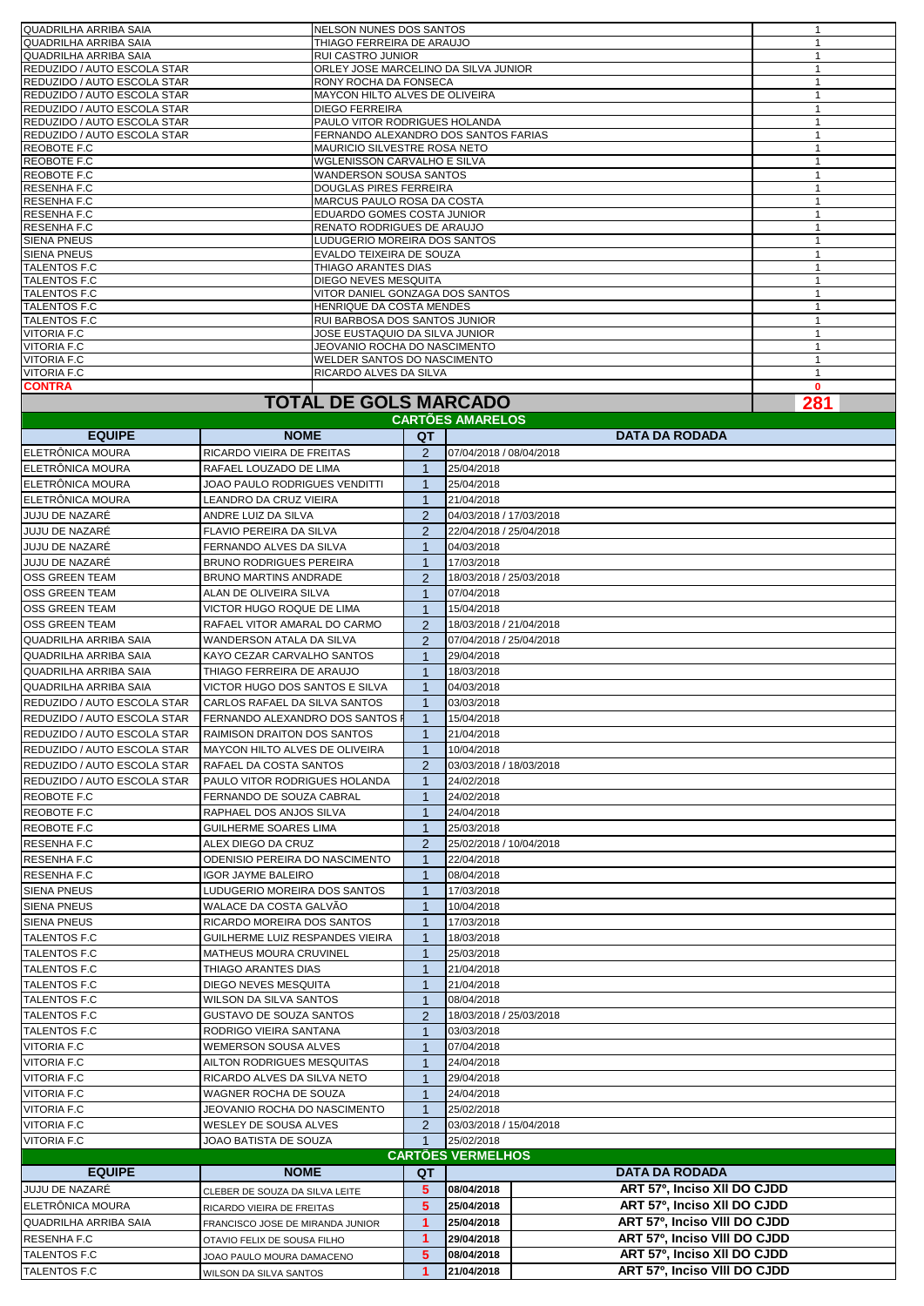| <b>TOTAL DE GOLS MARCADO</b> |                                      |   |  |  |
|------------------------------|--------------------------------------|---|--|--|
| <b>CONTRA</b>                |                                      | O |  |  |
| <b>VITORIA F.C</b>           | RICARDO ALVES DA SILVA               |   |  |  |
| <b>VITORIA F.C</b>           | <b>WELDER SANTOS DO NASCIMENTO</b>   |   |  |  |
| <b>VITORIA F.C</b>           | <b>JEOVANIO ROCHA DO NASCIMENTO</b>  |   |  |  |
| <b>VITORIA F.C</b>           | JOSE EUSTAQUIO DA SILVA JUNIOR       |   |  |  |
| <b>TALENTOS F.C</b>          | RUI BARBOSA DOS SANTOS JUNIOR        |   |  |  |
| <b>TALENTOS F.C</b>          | HENRIQUE DA COSTA MENDES             |   |  |  |
| <b>TALENTOS F.C</b>          | VITOR DANIEL GONZAGA DOS SANTOS      |   |  |  |
| <b>TALENTOS F.C</b>          | DIEGO NEVES MESQUITA                 |   |  |  |
| <b>TALENTOS F.C</b>          | THIAGO ARANTES DIAS                  |   |  |  |
| <b>SIENA PNEUS</b>           | EVALDO TEIXEIRA DE SOUZA             |   |  |  |
| <b>SIENA PNEUS</b>           | LUDUGERIO MOREIRA DOS SANTOS         |   |  |  |
| <b>RESENHA F.C</b>           | <b>RENATO RODRIGUES DE ARAUJO</b>    |   |  |  |
| <b>RESENHA F.C</b>           | EDUARDO GOMES COSTA JUNIOR           |   |  |  |
| <b>RESENHAF.C</b>            | MARCUS PAULO ROSA DA COSTA           |   |  |  |
| <b>RESENHAF.C</b>            | <b>DOUGLAS PIRES FERREIRA</b>        |   |  |  |
| REOBOTE F.C                  | <b>WANDERSON SOUSA SANTOS</b>        |   |  |  |
| REOBOTE F.C                  | WGLENISSON CARVALHO E SILVA          |   |  |  |
| REOBOTE F.C                  | MAURICIO SILVESTRE ROSA NETO         |   |  |  |
| REDUZIDO / AUTO ESCOLA STAR  | FERNANDO ALEXANDRO DOS SANTOS FARIAS |   |  |  |
| REDUZIDO / AUTO ESCOLA STAR  | PAULO VITOR RODRIGUES HOLANDA        |   |  |  |
| REDUZIDO / AUTO ESCOLA STAR  | <b>DIEGO FERREIRA</b>                |   |  |  |
| REDUZIDO / AUTO ESCOLA STAR  | MAYCON HILTO ALVES DE OLIVEIRA       |   |  |  |
| REDUZIDO / AUTO ESCOLA STAR  | RONY ROCHA DA FONSECA                |   |  |  |
| REDUZIDO / AUTO ESCOLA STAR  | ORLEY JOSE MARCELINO DA SILVA JUNIOR |   |  |  |
| QUADRILHA ARRIBA SAIA        | <b>RUI CASTRO JUNIOR</b>             |   |  |  |
| <b>QUADRILHA ARRIBA SAIA</b> | THIAGO FERREIRA DE ARAUJO            |   |  |  |
| QUADRILHA ARRIBA SAIA        | NELSON NUNES DOS SANTOS              |   |  |  |

## **TOTAL DE GOLS MARCADO**

| <b>CARTOES AMARELOS</b>      |                                       |                |                                            |  |  |  |
|------------------------------|---------------------------------------|----------------|--------------------------------------------|--|--|--|
| <b>EQUIPE</b>                | <b>NOME</b>                           | QT             | <b>DATA DA RODADA</b>                      |  |  |  |
| ELETRONICA MOURA             | RICARDO VIEIRA DE FREITAS             | 2              | 07/04/2018 / 08/04/2018                    |  |  |  |
| <b>ELETRONICA MOURA</b>      | RAFAEL LOUZADO DE LIMA                | $\mathbf{1}$   | 25/04/2018                                 |  |  |  |
| ELETRONICA MOURA             | JOAO PAULO RODRIGUES VENDITTI         | $\mathbf{1}$   | 25/04/2018                                 |  |  |  |
| <b>IELETRÖNICA MOURA</b>     | LEANDRO DA CRUZ VIEIRA                | $\mathbf{1}$   | 21/04/2018                                 |  |  |  |
| JUJU DE NAZARÉ               | ANDRE LUIZ DA SILVA                   | 2              | 04/03/2018 / 17/03/2018                    |  |  |  |
| JUJU DE NAZARE               | FLAVIO PEREIRA DA SILVA               | 2              | 22/04/2018 / 25/04/2018                    |  |  |  |
| <b>JUJU DE NAZARE</b>        | FERNANDO ALVES DA SILVA               | -1             | 04/03/2018                                 |  |  |  |
| JUJU DE NAZARE               | <b>BRUNO RODRIGUES PEREIRA</b>        | $\overline{1}$ | 17/03/2018                                 |  |  |  |
| <b>OSS GREEN TEAM</b>        | <b>BRUNO MARTINS ANDRADE</b>          | $\overline{2}$ | 18/03/2018 / 25/03/2018                    |  |  |  |
| <b>OSS GREEN TEAM</b>        | ALAN DE OLIVEIRA SILVA                | -1             | 07/04/2018                                 |  |  |  |
| <b>OSS GREEN TEAM</b>        | VICTOR HUGO ROQUE DE LIMA             | $\overline{1}$ | 15/04/2018                                 |  |  |  |
| <b>OSS GREEN TEAM</b>        | RAFAEL VITOR AMARAL DO CARMO          | 2              | 18/03/2018 / 21/04/2018                    |  |  |  |
| QUADRILHA ARRIBA SAIA        | WANDERSON ATALA DA SILVA              | 2              | 07/04/2018 / 25/04/2018                    |  |  |  |
| QUADRILHA ARRIBA SAIA        | KAYO CEZAR CARVALHO SANTOS            | $\mathbf{1}$   | 29/04/2018                                 |  |  |  |
| QUADRILHA ARRIBA SAIA        | THIAGO FERREIRA DE ARAUJO             | $\mathbf{1}$   | 18/03/2018                                 |  |  |  |
| <b>QUADRILHA ARRIBA SAIA</b> | VICTOR HUGO DOS SANTOS E SILVA        | 1              | 04/03/2018                                 |  |  |  |
| REDUZIDO / AUTO ESCOLA STAR  | CARLOS RAFAEL DA SILVA SANTOS         | -1             | 03/03/2018                                 |  |  |  |
| REDUZIDO / AUTO ESCOLA STAR  | FERNANDO ALEXANDRO DOS SANTOS I       | $\mathbf{1}$   | 15/04/2018                                 |  |  |  |
| REDUZIDO / AUTO ESCOLA STAR  | RAIMISON DRAITON DOS SANTOS           | $\mathbf{1}$   | 21/04/2018                                 |  |  |  |
| REDUZIDO / AUTO ESCOLA STAR  | <b>MAYCON HILTO ALVES DE OLIVEIRA</b> | -1             | 10/04/2018                                 |  |  |  |
| REDUZIDO / AUTO ESCOLA STAR  | RAFAEL DA COSTA SANTOS                | 2              | 03/03/2018 / 18/03/2018                    |  |  |  |
| REDUZIDO / AUTO ESCOLA STAR  | PAULO VITOR RODRIGUES HOLANDA         | 1              | 24/02/2018                                 |  |  |  |
| REOBOTE F.C                  | FERNANDO DE SOUZA CABRAL              | -1             | 24/02/2018                                 |  |  |  |
| REOBOTE F.C                  | RAPHAEL DOS ANJOS SILVA               | $\mathbf{1}$   | 24/04/2018                                 |  |  |  |
| REOBOTE F.C                  | <b>GUILHERME SOARES LIMA</b>          | $\mathbf{1}$   | 25/03/2018                                 |  |  |  |
| <b>RESENHA F.C</b>           | ALEX DIEGO DA CRUZ                    | $\overline{2}$ | 25/02/2018 / 10/04/2018                    |  |  |  |
| <b>RESENHA F.C</b>           | ODENISIO PEREIRA DO NASCIMENTO        | -1             | 22/04/2018                                 |  |  |  |
| RESENHA F.C                  | <b>IGOR JAYME BALEIRO</b>             | $\mathbf{1}$   | 08/04/2018                                 |  |  |  |
| <b>SIENA PNEUS</b>           | LUDUGERIO MOREIRA DOS SANTOS          | 1              | 17/03/2018                                 |  |  |  |
| <b>SIENA PNEUS</b>           | WALACE DA COSTA GALVÃO                | $\mathbf{1}$   | 10/04/2018                                 |  |  |  |
| <b>SIENA PNEUS</b>           | RICARDO MOREIRA DOS SANTOS            | 1              | 17/03/2018                                 |  |  |  |
| TALENTOS F.C                 | GUILHERME LUIZ RESPANDES VIEIRA       | -1             | 18/03/2018                                 |  |  |  |
| TALENTOS F.C                 | MATHEUS MOURA CRUVINEL                | 1              | 25/03/2018                                 |  |  |  |
| <b>TALENTOS F.C</b>          | THIAGO ARANTES DIAS                   | $\mathbf{1}$   | 21/04/2018                                 |  |  |  |
| <b>TALENTOS F.C</b>          | DIEGO NEVES MESQUITA                  | -1             | 21/04/2018                                 |  |  |  |
| <b>TALENTOS F.C</b>          | WILSON DA SILVA SANTOS                | $\overline{1}$ | 08/04/2018                                 |  |  |  |
| <b>TALENTOS F.C</b>          | <b>GUSTAVO DE SOUZA SANTOS</b>        | 2              | 18/03/2018 / 25/03/2018                    |  |  |  |
| TALENTOS F.C                 | RODRIGO VIEIRA SANTANA                | 1              | 03/03/2018                                 |  |  |  |
| <b>VITORIA F.C</b>           | <b>WEMERSON SOUSA ALVES</b>           | $\mathbf{1}$   | 07/04/2018                                 |  |  |  |
| <b>VITORIA F.C</b>           | AILTON RODRIGUES MESQUITAS            | $\overline{1}$ | 24/04/2018                                 |  |  |  |
| <b>VITORIA F.C</b>           | RICARDO ALVES DA SILVA NETO           | $\mathbf 1$    | 29/04/2018                                 |  |  |  |
| <b>VITORIA F.C</b>           | WAGNER ROCHA DE SOUZA                 | $\mathbf{1}$   | 24/04/2018                                 |  |  |  |
| <b>VITORIA F.C</b>           | JEOVANIO ROCHA DO NASCIMENTO          | 1 <sup>1</sup> | 25/02/2018                                 |  |  |  |
| <b>VITORIA F.C</b>           | WESLEY DE SOUSA ALVES                 | $\overline{2}$ | 03/03/2018 / 15/04/2018                    |  |  |  |
| <b>VITORIA F.C</b>           | JOAO BATISTA DE SOUZA                 | 1              | 25/02/2018                                 |  |  |  |
|                              |                                       |                | <b>CARTÕES VERMELHOS</b>                   |  |  |  |
| <b>EQUIPE</b>                | <b>NOME</b>                           | QT             | <b>DATA DA RODADA</b>                      |  |  |  |
| JUJU DE NAZARE               | CLEBER DE SOUZA DA SILVA LEITE        | 5              | ART 57º, Inciso XII DO CJDD<br>08/04/2018  |  |  |  |
| ELETRÔNICA MOURA             | RICARDO VIEIRA DE FREITAS             | 5              | ART 57º, Inciso XII DO CJDD<br>25/04/2018  |  |  |  |
| QUADRILHA ARRIBA SAIA        | FRANCISCO JOSE DE MIRANDA JUNIOR      | $\mathbf{1}$   | ART 57º, Inciso VIII DO CJDD<br>25/04/2018 |  |  |  |
| <b>RESENHA F.C</b>           | OTAVIO FELIX DE SOUSA FILHO           | $\mathbf{1}$   | ART 57º, Inciso VIII DO CJDD<br>29/04/2018 |  |  |  |
| TALENTOS F.C                 | JOAO PAULO MOURA DAMACENO             | 5              | ART 57º, Inciso XII DO CJDD<br>08/04/2018  |  |  |  |
| TALENTOS F.C                 | WILSON DA SILVA SANTOS                | $\overline{1}$ | ART 57º, Inciso VIII DO CJDD<br>21/04/2018 |  |  |  |
|                              |                                       |                |                                            |  |  |  |